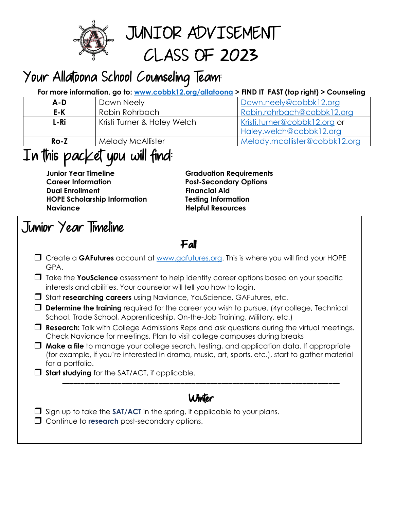

JUNIOR ADVISEMENT CLASS OF 2023

### Your Allatoona School Counseling Team:

**For more information, go to: [www.cobbk12.org/allatoona](http://www.cobbk12.org/allatoona) > FIND IT FAST (top right) > Counseling**

| A-D  | Dawn Neely                  | Dawn.neely@cobbk12.org        |  |
|------|-----------------------------|-------------------------------|--|
| E-K  | Robin Rohrbach              | Robin.rohrbach@cobbk12.org    |  |
| L-Ri | Kristi Turner & Haley Welch | Kristi.turner@cobbk12.org or  |  |
|      |                             | Haley.welch@cobbk12.org       |  |
| Ro-Z | <b>Melody McAllister</b>    | Melody.mcallister@cobbk12.org |  |

### In this packet you will find:

**Junior Year Timeline Graduation Requirements Career Information Career Information Post-Secondary Options Dual Enrollment Financial Aid HOPE Scholarship Information Testing Information Naviance Helpful Resources**

### Junior Year Timeline

Fall

- Create a **GAFutures** account at [www.gafutures.org.](http://www.gafutures.org/) This is where you will find your HOPE GPA.
- Take the **YouScience** assessment to help identify career options based on your specific interests and abilities. Your counselor will tell you how to login.
- Start **researching careers** using Naviance, YouScience, GAFutures, etc.
- **Determine the training** required for the career you wish to pursue. (4yr college, Technical School, Trade School, Apprenticeship, On-the-Job Training, Military, etc.)
- **Research:** Talk with College Admissions Reps and ask questions during the virtual meetings. Check Naviance for meetings. Plan to visit college campuses during breaks
- **Make a file** to manage your college search, testing, and application data. If appropriate (for example, if you're interested in drama, music, art, sports, etc.), start to gather material for a portfolio.
- **Start studying** for the SAT/ACT, if applicable.

#### Winter

---------------------------------------------------------------------------

- $\Box$  Sign up to take the **SAT/ACT** in the spring, if applicable to your plans.
- **C** Continue to **research** post-secondary options.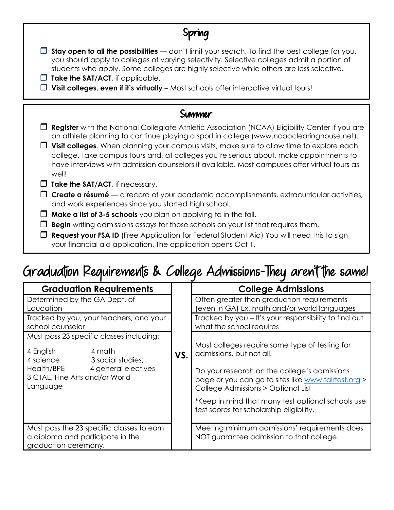| <b>Stay open to all the possibilities</b> — don't limit your search. To find the best college for you,<br>you should apply to colleges of varying selectivity. Selective colleges admit a portion of<br>students who apply. Some colleges are highly selective while others are less selective.<br>Take the SAT/ACT, if applicable.<br>Visit colleges, even if it's virtually - Most schools offer interactive virtual tours!                                                                     |
|---------------------------------------------------------------------------------------------------------------------------------------------------------------------------------------------------------------------------------------------------------------------------------------------------------------------------------------------------------------------------------------------------------------------------------------------------------------------------------------------------|
| Summer                                                                                                                                                                                                                                                                                                                                                                                                                                                                                            |
| Register with the National Collegiate Athletic Association (NCAA) Eligibility Center if you are<br>an athlete planning to continue playing a sport in college (www.ncaaclearinghouse.net).<br><b>Visit colleges.</b> When planning your campus visits, make sure to allow time to explore each<br>college. Take campus tours and, at colleges you're serious about, make appointments to<br>have interviews with admission counselors if available. Most campuses offer virtual tours as<br>well! |
| $\Box$ Take the SAT/ACT, if necessary.                                                                                                                                                                                                                                                                                                                                                                                                                                                            |
| <b>Create a résumé</b> — a record of your academic accomplishments, extracurricular activities,<br>$\mathbf{L}$<br>and work experiences since you started high school.                                                                                                                                                                                                                                                                                                                            |
| Make a list of 3-5 schools you plan on applying to in the fall.                                                                                                                                                                                                                                                                                                                                                                                                                                   |
| <b>Begin</b> writing admissions essays for those schools on your list that requires them.                                                                                                                                                                                                                                                                                                                                                                                                         |
| <b>Request your FSA ID</b> (Free Application for Federal Student Aid) You will need this to sign                                                                                                                                                                                                                                                                                                                                                                                                  |

# Graduation Requirements & College Admissions-They aren't the same!

your financial aid application. The application opens Oct 1.

| <b>Graduation Requirements</b>                                                                                                                                                       |     | <b>College Admissions</b>                                                                                                                                                                                               |  |
|--------------------------------------------------------------------------------------------------------------------------------------------------------------------------------------|-----|-------------------------------------------------------------------------------------------------------------------------------------------------------------------------------------------------------------------------|--|
| Determined by the GA Dept. of                                                                                                                                                        |     | Often greater than graduation requirements                                                                                                                                                                              |  |
| Education                                                                                                                                                                            |     | (even in GA) Ex. math and/or world languages                                                                                                                                                                            |  |
| Tracked by you, your teachers, and your                                                                                                                                              |     | Tracked by you - It's your responsibility to find out                                                                                                                                                                   |  |
| school counselor                                                                                                                                                                     |     | what the school requires                                                                                                                                                                                                |  |
| Must pass 23 specific classes including:<br>4 math<br>4 English<br>4 science<br>3 social studies,<br>4 general electives<br>Health/BPE<br>3 CTAE, Fine Arts and/or World<br>Language | VS. | Most colleges require some type of testing for<br>admissions, but not all.<br>Do your research on the college's admissions<br>page or you can go to sites like www.fairtest.org ><br>College Admissions > Optional List |  |
|                                                                                                                                                                                      |     | *Keep in mind that many test optional schools use<br>test scores for scholarship eligibility.                                                                                                                           |  |
| Must pass the 23 specific classes to earn<br>a diploma and participate in the<br>graduation ceremony.                                                                                |     | Meeting minimum admissions' requirements does<br>NOT guarantee admission to that college.                                                                                                                               |  |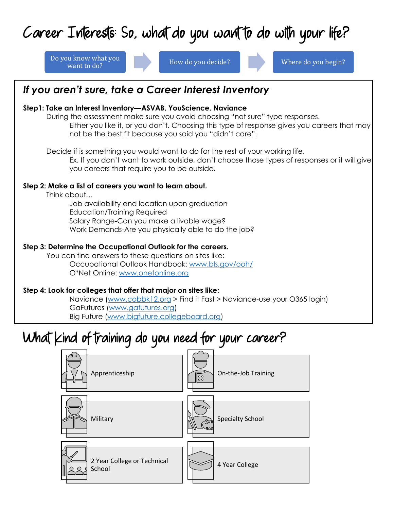# Career Interests: So, what do you want to do with your life?

Do you know what you



#### *If you aren't sure, take a Career Interest Inventory*

#### **Step1: Take an Interest Inventory—ASVAB, YouScience, Naviance**

During the assessment make sure you avoid choosing "not sure" type responses.

Either you like it, or you don't. Choosing this type of response gives you careers that may not be the best fit because you said you "didn't care".

Decide if is something you would want to do for the rest of your working life. Ex. If you don't want to work outside, don't choose those types of responses or it will give you careers that require you to be outside.

#### **Step 2: Make a list of careers you want to learn about.**

Think about…

Job availability and location upon graduation Education/Training Required Salary Range-Can you make a livable wage? Work Demands-Are you physically able to do the job?

#### **Step 3: Determine the Occupational Outlook for the careers.**

You can find answers to these questions on sites like: Occupational Outlook Handbook: [www.bls.gov/ooh/](http://www.bls.gov/ooh/) O\*Net Online: [www.onetonline.org](http://www.onetonline.org/)

#### **Step 4: Look for colleges that offer that major on sites like:**

Naviance [\(www.cobbk12.org](http://www.cobbk12.org/) > Find it Fast > Naviance-use your O365 login) GaFutures [\(www.gafutures.org\)](http://www.gafutures.org/) Big Future [\(www.bigfuture.collegeboard.org\)](http://www.bigfuture.collegeboard.org/)

### What kind of training do you need for your career?

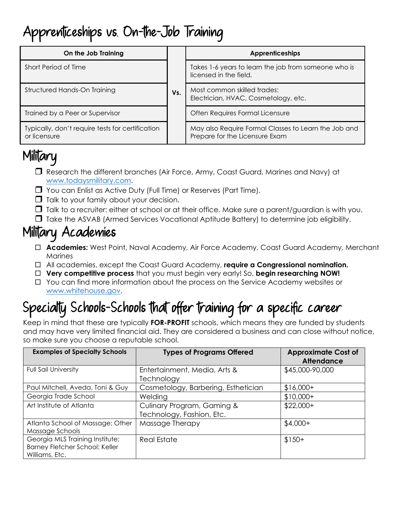### Apprenticeships vs. On-the-Job Training

| On the Job Training                                              |  | <b>Apprenticeships</b>                                                                 |
|------------------------------------------------------------------|--|----------------------------------------------------------------------------------------|
| Short Period of Time                                             |  | Takes 1-6 years to learn the job from someone who is<br>licensed in the field.         |
| Structured Hands-On Training                                     |  | Most common skilled trades:<br>Electrician, HVAC, Cosmetology, etc.                    |
| Trained by a Peer or Supervisor                                  |  | Often Requires Formal Licensure                                                        |
| Typically, don't require tests for certification<br>or licensure |  | May also Require Formal Classes to Learn the Job and<br>Prepare for the Licensure Exam |

# Military

- Research the different branches (Air Force, Army, Coast Guard, Marines and Navy) at [www.todaysmilitary.com.](http://www.todaysmilitary.com/)
- □ You can Enlist as Active Duty (Full Time) or Reserves (Part Time).
- $\Box$  Talk to your family about your decision.
- $\Box$  Talk to a recruiter: either at school or at their office. Make sure a parent/quardian is with you.
- $\Box$  Take the ASVAB (Armed Services Vocational Aptitude Battery) to determine job eligibility.

### Military Academies

- **Academies:** West Point, Naval Academy, Air Force Academy, Coast Guard Academy, Merchant **Marines**
- All academies, except the Coast Guard Academy, **require a Congressional nomination.**
- **Very competitive process** that you must begin very early! So, **begin researching NOW!**
- $\Box$  You can find more information about the process on the Service Academy websites or [www.whitehouse.gov.](http://www.whitehouse.gov/)

# Specialty Schools-Schools that offer training for a specific career

Keep in mind that these are typically **FOR-PROFIT** schools, which means they are funded by students and may have very limited financial aid. They are considered a business and can close without notice, so make sure you choose a reputable school.

| <b>Examples of Specialty Schools</b>                                                | <b>Types of Programs Offered</b>                        | <b>Approximate Cost of</b><br><b>Attendance</b> |
|-------------------------------------------------------------------------------------|---------------------------------------------------------|-------------------------------------------------|
| <b>Full Sail University</b>                                                         | Entertainment, Media, Arts &<br>Technology              | \$45,000-90,000                                 |
| Paul Mitchell, Aveda, Toni & Guy                                                    | Cosmetology, Barbering, Esthetician                     | $$16,000+$                                      |
| Georgia Trade School                                                                | Welding                                                 | $$10,000+$                                      |
| Art Institute of Atlanta                                                            | Culinary Program, Gaming &<br>Technology, Fashion, Etc. | $$22,000+$                                      |
| Atlanta School of Massage; Other<br>Massage Schools                                 | Massage Therapy                                         | $$4,000+$                                       |
| Georgia MLS Training Institute;<br>Barney Fletcher School; Keller<br>Williams, Etc. | <b>Real Estate</b>                                      | $$150+$                                         |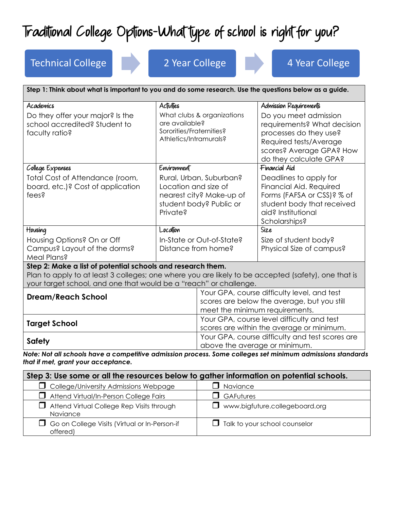# Traditional College Options-What type of school is right for you?

Technical College 2 Year College 2 Year 2 Year College

| Academics                                                                                                                                                                                                                               | Activities                                                                                                         | Admission Requirements                                                                                                                                         |  |
|-----------------------------------------------------------------------------------------------------------------------------------------------------------------------------------------------------------------------------------------|--------------------------------------------------------------------------------------------------------------------|----------------------------------------------------------------------------------------------------------------------------------------------------------------|--|
| Do they offer your major? Is the<br>school accredited? Student to<br>faculty ratio?                                                                                                                                                     | What clubs & organizations<br>are available?<br>Sororities/Fraternities?<br>Athletics/Intramurals?                 | Do you meet admission<br>requirements? What decision<br>processes do they use?<br>Required tests/Average<br>scores? Average GPA? How<br>do they calculate GPA? |  |
| College Expenses                                                                                                                                                                                                                        | Environment                                                                                                        | Financial Aid                                                                                                                                                  |  |
| Total Cost of Attendance (room,<br>board, etc.)? Cost of application<br>fees?                                                                                                                                                           | Rural, Urban, Suburban?<br>Location and size of<br>nearest city? Make-up of<br>student body? Public or<br>Private? | Deadlines to apply for<br>Financial Aid. Required<br>Forms (FAFSA or CSS)? % of<br>student body that received<br>aid? Institutional<br>Scholarships?           |  |
| Housing                                                                                                                                                                                                                                 | Location                                                                                                           | Size                                                                                                                                                           |  |
| Housing Options? On or Off<br>Campus? Layout of the dorms?<br>Meal Plans?                                                                                                                                                               | In-State or Out-of-State?<br>Distance from home?                                                                   | Size of student body?<br>Physical Size of campus?                                                                                                              |  |
| Step 2: Make a list of potential schools and research them.<br>Plan to apply to at least 3 colleges; one where you are likely to be accepted (safety), one that is<br>your target school, and one that would be a "reach" or challenge. |                                                                                                                    |                                                                                                                                                                |  |
| <b>Dream/Reach School</b>                                                                                                                                                                                                               |                                                                                                                    | Your GPA, course difficulty level, and test<br>scores are below the average, but you still<br>meet the minimum requirements.                                   |  |
| <b>Target School</b>                                                                                                                                                                                                                    |                                                                                                                    | Your GPA, course level difficulty and test<br>scores are within the average or minimum.                                                                        |  |
| <b>Safety</b>                                                                                                                                                                                                                           |                                                                                                                    | Your GPA, course difficulty and test scores are<br>above the average or minimum.                                                                               |  |

| Step 3: Use some or all the resources below to gather information on potential schools. |                                       |  |  |  |
|-----------------------------------------------------------------------------------------|---------------------------------------|--|--|--|
| $\Box$ College/University Admissions Webpage                                            | Naviance                              |  |  |  |
| Attend Virtual/In-Person College Fairs                                                  | $\Box$ GAFutures                      |  |  |  |
| $\Box$ Attend Virtual College Rep Visits through<br>Naviance                            | $\Box$ www.bigfuture.collegeboard.org |  |  |  |
| $\Box$ Go on College Visits (Virtual or In-Person-if<br>offered)                        | $\Box$ Talk to your school counselor  |  |  |  |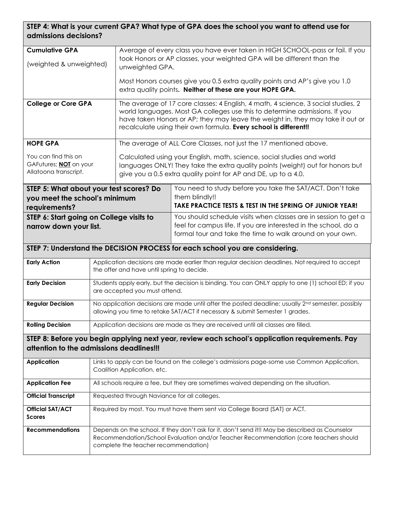#### **STEP 4: What is your current GPA? What type of GPA does the school you want to attend use for admissions decisions?**

| <b>Cumulative GPA</b>                                                                           |                                                                                                                                                                                               |                                                                                                                                                           |                                                                                                                                                                                                                                  |  |  |  |
|-------------------------------------------------------------------------------------------------|-----------------------------------------------------------------------------------------------------------------------------------------------------------------------------------------------|-----------------------------------------------------------------------------------------------------------------------------------------------------------|----------------------------------------------------------------------------------------------------------------------------------------------------------------------------------------------------------------------------------|--|--|--|
| (weighted & unweighted)                                                                         |                                                                                                                                                                                               | Average of every class you have ever taken in HIGH SCHOOL-pass or fail. If you<br>took Honors or AP classes, your weighted GPA will be different than the |                                                                                                                                                                                                                                  |  |  |  |
|                                                                                                 |                                                                                                                                                                                               | unweighted GPA.                                                                                                                                           |                                                                                                                                                                                                                                  |  |  |  |
|                                                                                                 |                                                                                                                                                                                               |                                                                                                                                                           | Most Honors courses give you 0.5 extra quality points and AP's give you 1.0<br>extra quality points. Neither of these are your HOPE GPA.                                                                                         |  |  |  |
| <b>College or Core GPA</b>                                                                      |                                                                                                                                                                                               |                                                                                                                                                           | The average of 17 core classes: 4 English, 4 math, 4 science, 3 social studies, 2                                                                                                                                                |  |  |  |
|                                                                                                 |                                                                                                                                                                                               |                                                                                                                                                           | world languages. Most GA colleges use this to determine admissions. If you<br>have taken Honors or AP; they may leave the weight in, they may take it out or<br>recalculate using their own formula. Every school is different!! |  |  |  |
| <b>HOPE GPA</b>                                                                                 |                                                                                                                                                                                               |                                                                                                                                                           | The average of ALL Core Classes, not just the 17 mentioned above.                                                                                                                                                                |  |  |  |
| You can find this on                                                                            |                                                                                                                                                                                               |                                                                                                                                                           | Calculated using your English, math, science, social studies and world                                                                                                                                                           |  |  |  |
| GAFutures; <b>NOT</b> on your                                                                   |                                                                                                                                                                                               |                                                                                                                                                           | languages ONLY! They take the extra quality points (weight) out for honors but                                                                                                                                                   |  |  |  |
| Allatoona transcript.                                                                           |                                                                                                                                                                                               |                                                                                                                                                           | give you a 0.5 extra quality point for AP and DE, up to a 4.0.                                                                                                                                                                   |  |  |  |
| STEP 5: What about your test scores? Do                                                         |                                                                                                                                                                                               |                                                                                                                                                           | You need to study before you take the SAT/ACT. Don't take                                                                                                                                                                        |  |  |  |
| you meet the school's minimum                                                                   |                                                                                                                                                                                               |                                                                                                                                                           | them blindly!!                                                                                                                                                                                                                   |  |  |  |
| requirements?                                                                                   |                                                                                                                                                                                               |                                                                                                                                                           | <b>TAKE PRACTICE TESTS &amp; TEST IN THE SPRING OF JUNIOR YEAR!</b>                                                                                                                                                              |  |  |  |
| STEP 6: Start going on College visits to                                                        |                                                                                                                                                                                               |                                                                                                                                                           | You should schedule visits when classes are in session to get a                                                                                                                                                                  |  |  |  |
| narrow down your list.                                                                          |                                                                                                                                                                                               |                                                                                                                                                           | feel for campus life. If you are interested in the school, do a                                                                                                                                                                  |  |  |  |
|                                                                                                 |                                                                                                                                                                                               |                                                                                                                                                           | formal tour and take the time to walk around on your own.                                                                                                                                                                        |  |  |  |
|                                                                                                 | STEP 7: Understand the DECISION PROCESS for each school you are considering.                                                                                                                  |                                                                                                                                                           |                                                                                                                                                                                                                                  |  |  |  |
| <b>Early Action</b>                                                                             |                                                                                                                                                                                               | Application decisions are made earlier than regular decision deadlines. Not required to accept<br>the offer and have until spring to decide.              |                                                                                                                                                                                                                                  |  |  |  |
| <b>Early Decision</b>                                                                           |                                                                                                                                                                                               | Students apply early, but the decision is binding. You can ONLY apply to one (1) school ED; if you                                                        |                                                                                                                                                                                                                                  |  |  |  |
|                                                                                                 |                                                                                                                                                                                               | are accepted you must attend.                                                                                                                             |                                                                                                                                                                                                                                  |  |  |  |
| <b>Regular Decision</b>                                                                         | No application decisions are made until after the posted deadline; usually 2 <sup>nd</sup> semester, possibly<br>allowing you time to retake SAT/ACT if necessary & submit Semester 1 grades. |                                                                                                                                                           |                                                                                                                                                                                                                                  |  |  |  |
| <b>Rolling Decision</b>                                                                         | Application decisions are made as they are received until all classes are filled.                                                                                                             |                                                                                                                                                           |                                                                                                                                                                                                                                  |  |  |  |
| STEP 8: Before you begin applying next year, review each school's application requirements. Pay |                                                                                                                                                                                               |                                                                                                                                                           |                                                                                                                                                                                                                                  |  |  |  |
| attention to the admissions deadlines!!!                                                        |                                                                                                                                                                                               |                                                                                                                                                           |                                                                                                                                                                                                                                  |  |  |  |
| <b>Application</b>                                                                              |                                                                                                                                                                                               | Links to apply can be found on the college's admissions page-some use Common Application,<br>Coalition Application, etc.                                  |                                                                                                                                                                                                                                  |  |  |  |
| <b>Application Fee</b>                                                                          | All schools require a fee, but they are sometimes waived depending on the situation.                                                                                                          |                                                                                                                                                           |                                                                                                                                                                                                                                  |  |  |  |
| <b>Official Transcript</b>                                                                      |                                                                                                                                                                                               | Requested through Naviance for all colleges.                                                                                                              |                                                                                                                                                                                                                                  |  |  |  |
| <b>Official SAT/ACT</b><br><b>Scores</b>                                                        |                                                                                                                                                                                               | Required by most. You must have them sent via College Board (SAT) or ACT.                                                                                 |                                                                                                                                                                                                                                  |  |  |  |
| <b>Recommendations</b>                                                                          | Depends on the school. If they don't ask for it, don't send it!! May be described as Counselor                                                                                                |                                                                                                                                                           |                                                                                                                                                                                                                                  |  |  |  |
|                                                                                                 |                                                                                                                                                                                               | Recommendation/School Evaluation and/or Teacher Recommendation (core teachers should<br>complete the teacher recommendation)                              |                                                                                                                                                                                                                                  |  |  |  |
|                                                                                                 |                                                                                                                                                                                               |                                                                                                                                                           |                                                                                                                                                                                                                                  |  |  |  |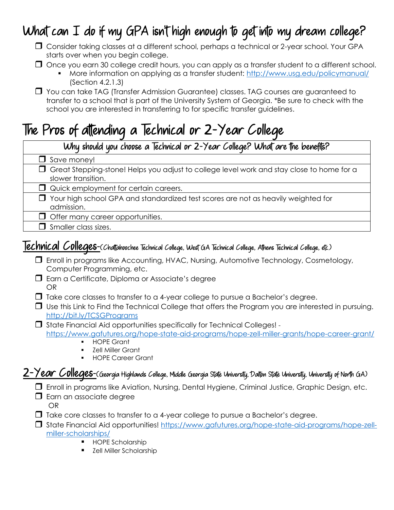### What can I do if my GPA isn't high enough to get into my dream college?

- Consider taking classes at a different school, perhaps a technical or 2-year school. Your GPA starts over when you begin college.
- $\Box$  Once you earn 30 college credit hours, you can apply as a transfer student to a different school. More information on applying as a transfer student: [http://www.usg.edu/policymanual/](http://www.usg.edu/policymanual/section4/C328/#n4213) (Section 4.2.1.3)

 You can take TAG (Transfer Admission Guarantee) classes. TAG courses are guaranteed to transfer to a school that is part of the University System of Georgia. \*Be sure to check with the school you are interested in transferring to for specific transfer guidelines.

### The Pros of attending a Technical or 2-Year College

| Why should you choose a Technical or 2-Year College? What are the benefits?                                            |
|------------------------------------------------------------------------------------------------------------------------|
| $\Box$ Save money!                                                                                                     |
| $\Box$ Great Stepping-stone! Helps you adjust to college level work and stay close to home for a<br>slower transition. |
| $\Box$ Quick employment for certain careers.                                                                           |
| $\Box$ Your high school GPA and standardized test scores are not as heavily weighted for<br>admission.                 |
| $\Box$ Offer many career opportunities.                                                                                |
| $\Box$ Smaller class sizes.                                                                                            |

#### Technical Colleges-(Chattahoochee Technical College, West GA Technical College, Athens Technical College, etc.)

- Enroll in programs like Accounting, HVAC, Nursing, Automotive Technology, Cosmetology, Computer Programming, etc.
- $\Box$  Earn a Certificate, Diploma or Associate's degree OR
- $\Box$  Take core classes to transfer to a 4-year college to pursue a Bachelor's degree.
- $\Box$  Use this Link to Find the Technical College that offers the Program you are interested in pursuing. <http://bit.ly/TCSGPrograms>
- $\square$  State Financial Aid opportunities specifically for Technical Colleges! <https://www.gafutures.org/hope-state-aid-programs/hope-zell-miller-grants/hope-career-grant/>
	- HOPE Grant
	- **Zell Miller Grant**
	- HOPE Career Grant

#### 2-Year Colleges-(Georgia Highlands College, Middle Georgia State University, Dalton State University, University of North GA)

- Enroll in programs like Aviation, Nursing, Dental Hygiene, Criminal Justice, Graphic Design, etc.
- $\Box$  Earn an associate degree OR
- $\Box$  Take core classes to transfer to a 4-year college to pursue a Bachelor's degree.
- State Financial Aid opportunities! [https://www.gafutures.org/hope-state-aid-programs/hope-zell](https://www.gafutures.org/hope-state-aid-programs/hope-zell-miller-scholarships/)[miller-scholarships/](https://www.gafutures.org/hope-state-aid-programs/hope-zell-miller-scholarships/)
	- **HOPE Scholarship**
	- Zell Miller Scholarship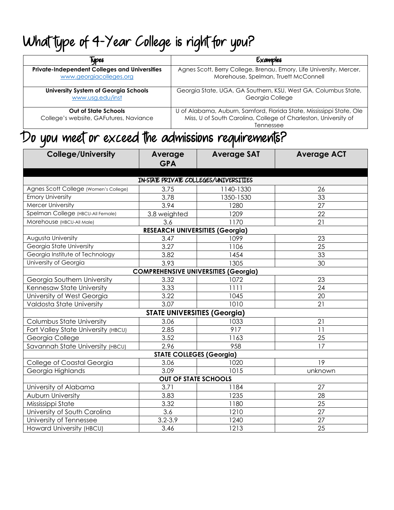### What type of 4-Year College is right for you?

| Types                                                                 | Examples                                                                                                                                             |
|-----------------------------------------------------------------------|------------------------------------------------------------------------------------------------------------------------------------------------------|
| <b>Private-Independent Colleges and Universities</b>                  | Agnes Scott, Berry College, Brenau, Emory, Life University, Mercer,                                                                                  |
| www.georgiacolleges.org                                               | Morehouse, Spelman, Truett McConnell                                                                                                                 |
| University System of Georgia Schools                                  | Georgia State, UGA, GA Southern, KSU, West GA, Columbus State,                                                                                       |
| www.usg.edu/inst                                                      | Georgia College                                                                                                                                      |
| <b>Out of State Schools</b><br>College's website, GAFutures, Naviance | U of Alabama, Auburn, Samford, Florida State, Mississippi State, Ole<br>Miss, U of South Carolina, College of Charleston, University of<br>Tennessee |

### Do you meet or exceed the admissions requirements?

| <b>College/University</b>              | Average<br><b>GPA</b>                  | <b>Average SAT</b>                          | <b>Average ACT</b> |  |  |  |
|----------------------------------------|----------------------------------------|---------------------------------------------|--------------------|--|--|--|
| IN-STATE PRIVATE COLLEGES/UNIVERSITIES |                                        |                                             |                    |  |  |  |
| Agnes Scott College (Women's College)  | 3.75                                   | 1140-1330                                   | 26                 |  |  |  |
| <b>Emory University</b>                | 3.78                                   | 1350-1530                                   | 33                 |  |  |  |
| <b>Mercer University</b>               | 3.94                                   | 1280                                        | 27                 |  |  |  |
| Spelman College (HBCU-All Female)      | 3.8 weighted                           | 1209                                        | 22                 |  |  |  |
| Morehouse (HBCU-All Male)              | 3.6                                    | 1170                                        | 21                 |  |  |  |
|                                        | <b>RESEARCH UNIVERSITIES (Georgia)</b> |                                             |                    |  |  |  |
| Augusta University                     | 3.47                                   | 1099                                        | 23                 |  |  |  |
| Georgia State University               | 3.27                                   | 1106                                        | 25                 |  |  |  |
| Georgia Institute of Technology        | 3.82                                   | 1454                                        | 33                 |  |  |  |
| University of Georgia                  | 3.93                                   | 1305                                        | 30                 |  |  |  |
|                                        |                                        | <b>COMPREHENSIVE UNIVERSITIES (Georgia)</b> |                    |  |  |  |
| Georgia Southern University            | 3.32                                   | 1072                                        | 23                 |  |  |  |
| Kennesaw State University              | 3.33                                   | 1111                                        | 24                 |  |  |  |
| University of West Georgia             | 3.22                                   | 1045                                        | 20                 |  |  |  |
| Valdosta State University              | 3.07                                   | 1010                                        | 21                 |  |  |  |
|                                        | <b>STATE UNIVERSITIES (Georgia)</b>    |                                             |                    |  |  |  |
| Columbus State University              | 3.06                                   | 1033                                        | 21                 |  |  |  |
| Fort Valley State University (HBCU)    | 2.85                                   | 917                                         | 11                 |  |  |  |
| Georgia College                        | 3.52                                   | 1163                                        | 25                 |  |  |  |
| Savannah State University (HBCU)       | 2.96                                   | 958                                         | 17                 |  |  |  |
| <b>STATE COLLEGES (Georgia)</b>        |                                        |                                             |                    |  |  |  |
| College of Coastal Georgia             | 3.06                                   | 1020                                        | 19                 |  |  |  |
| Georgia Highlands                      | 3.09                                   | 1015                                        | unknown            |  |  |  |
| <b>OUT OF STATE SCHOOLS</b>            |                                        |                                             |                    |  |  |  |
| University of Alabama                  | 3.71                                   | 1184                                        | 27                 |  |  |  |
| Auburn University                      | 3.83                                   | 1235                                        | 28                 |  |  |  |
| Mississippi State                      | 3.32                                   | 1180                                        | 25                 |  |  |  |
| University of South Carolina           | 3.6                                    | 1210                                        | 27                 |  |  |  |
| University of Tennessee                | $3.2 - 3.9$                            | 1240                                        | 27                 |  |  |  |
| Howard University (HBCU)               | 3.46                                   | 1213                                        | 25                 |  |  |  |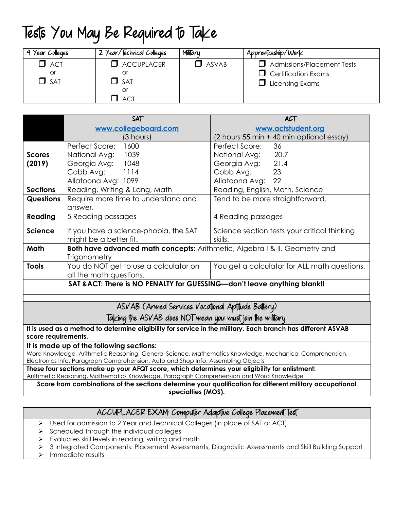# Tests You May Be Required to Take

| 4 Year Colleges                | 2 Year/Technical Colleges            | Military | Apprenticeship/Work                                                                       |
|--------------------------------|--------------------------------------|----------|-------------------------------------------------------------------------------------------|
| $\Box$ act<br>or<br>$\Box$ sat | $\Box$ ACCUPLACER<br>or<br>SAT<br>or | ASVAB    | $\Box$ Admissions/Placement Tests<br>$\Box$ Certification Exams<br>$\Box$ Licensing Exams |
|                                | <b>ACT</b>                           |          |                                                                                           |

|                  | <b>SAT</b>                                                                        | ACT                                          |
|------------------|-----------------------------------------------------------------------------------|----------------------------------------------|
|                  | www.collegeboard.com                                                              | www.actstudent.org                           |
|                  | (3 hours)                                                                         | (2 hours 55 min + 40 min optional essay)     |
|                  | 1600<br>Perfect Score:                                                            | 36<br>Perfect Score:                         |
| <b>Scores</b>    | National Avg:<br>1039                                                             | 20.7<br>National Avg:                        |
| (2019)           | Georgia Avg: 1048                                                                 | Georgia Avg: 21.4                            |
|                  | Cobb Avg: 1114                                                                    | Cobb Avg: 23                                 |
|                  | Allatoona Avg: 1099                                                               | Allatoona Avg: 22                            |
| <b>Sections</b>  | Reading, Writing & Lang, Math                                                     | Reading, English, Math, Science              |
| <b>Questions</b> | Require more time to understand and                                               | Tend to be more straightforward.             |
|                  | answer.                                                                           |                                              |
| <b>Reading</b>   | 5 Reading passages                                                                | 4 Reading passages                           |
| <b>Science</b>   | If you have a science-phobia, the SAT                                             | Science section tests your critical thinking |
|                  | might be a better fit.                                                            | skills.                                      |
| Math             | <b>Both have advanced math concepts:</b> Arithmetic, Algebra I & II, Geometry and |                                              |
|                  | <b>Trigonometry</b>                                                               |                                              |
| <b>Tools</b>     | You do NOT get to use a calculator on                                             | You get a calculator for ALL math questions. |
|                  | all the math questions.                                                           |                                              |
|                  | SAT & ACT: There is NO PENALTY for GUESSING—don't leave anything blank!!          |                                              |
|                  |                                                                                   |                                              |

ASVAB (Armed Services Vocational Aptitude Battery)

Taking the ASVAB does NOT mean you must join the military.

**It is used as a method to determine eligibility for service in the military. Each branch has different ASVAB score requirements.**

**It is made up of the following sections:** 

Word Knowledge, Arithmetic Reasoning, General Science, Mathematics Knowledge, Mechanical Comprehension, Electronics Info, Paragraph Comprehension, Auto and Shop Info, Assembling Objects

**These four sections make up your AFQT score, which determines your eligibility for enlistment:** Arithmetic Reasoning, Mathematics Knowledge, Paragraph Comprehension and Word Knowledge

**Score from combinations of the sections determine your qualification for different military occupational specialties (MOS).**

| ACCUPLACER EXAM: Computer Adaptive College Placement Test |
|-----------------------------------------------------------|
|-----------------------------------------------------------|

- ➢ Used for admission to 2 Year and Technical Colleges (in place of SAT or ACT)
- $\triangleright$  Scheduled through the individual colleges
- ➢ Evaluates skill levels in reading, writing and math
- ➢ 3 Integrated Components: Placement Assessments, Diagnostic Assessments and Skill Building Support
- ➢ Immediate results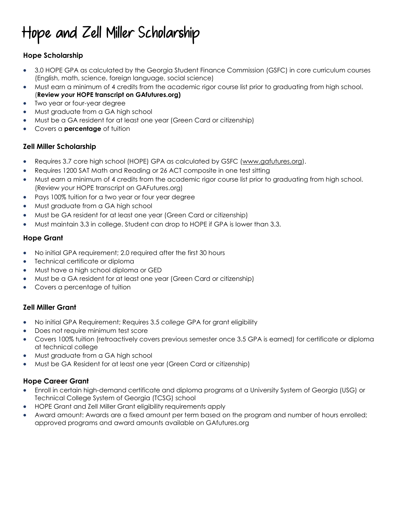# Hope and Zell Miller Scholarship

#### **Hope Scholarship**

- 3.0 HOPE GPA as calculated by the Georgia Student Finance Commission (GSFC) in core curriculum courses (English, math, science, foreign language, social science)
- Must earn a minimum of 4 credits from the academic rigor course list prior to graduating from high school.
- (**Review** *your* **HOPE transcript on GAfutures.org)**
- Two year or four-year degree
- Must graduate from a GA high school
- Must be a GA resident for at least one year (Green Card or citizenship)
- Covers a **percentage** of tuition

#### **Zell Miller Scholarship**

- Requires 3.7 core high school (HOPE) GPA as calculated by GSFC [\(www.gafutures.org\)](http://www.gafutures.org/).
- Requires 1200 SAT Math and Reading or 26 ACT composite in one test sitting
- Must earn a minimum of 4 credits from the academic rigor course list prior to graduating from high school. (Review *your* HOPE transcript on GAFutures.org)
- Pays 100% tuition for a two year or four year degree
- Must graduate from a GA high school
- Must be GA resident for at least one year (Green Card or citizenship)
- Must maintain 3.3 in college. Student can drop to HOPE if GPA is lower than 3.3.

#### **Hope Grant**

- No initial GPA requirement; 2.0 required after the first 30 hours
- Technical certificate or diploma
- Must have a high school diploma or GED
- Must be a GA resident for at least one year (Green Card or citizenship)
- Covers a percentage of tuition

#### **Zell Miller Grant**

- No initial GPA Requirement; Requires 3.5 *college* GPA for grant eligibility
- Does not require minimum test score
- Covers 100% tuition (retroactively covers previous semester once 3.5 GPA is earned) for certificate or diploma at technical college
- Must graduate from a GA high school
- Must be GA Resident for at least one year (Green Card or citizenship)

#### **Hope Career Grant**

- Enroll in certain high-demand certificate and diploma programs at a University System of Georgia (USG) or Technical College System of Georgia (TCSG) school
- HOPE Grant and Zell Miller Grant eligibility requirements apply
- Award amount: Awards are a fixed amount per term based on the program and number of hours enrolled; approved programs and award amounts available on GAfutures.org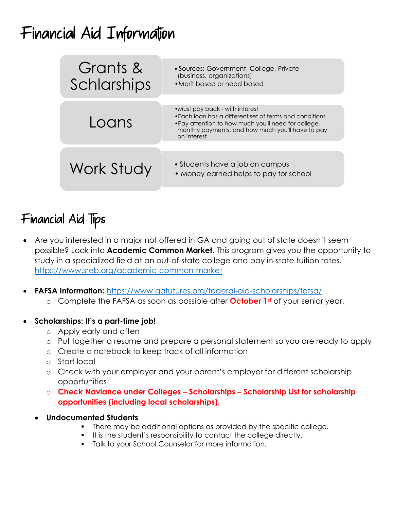# Financial Aid Information

| Grants &<br>Schlarships | • Sources: Government, College, Private<br>(business, organizations)<br>• Merit based or need based                                                                                                                    |
|-------------------------|------------------------------------------------------------------------------------------------------------------------------------------------------------------------------------------------------------------------|
| Loans                   | • Must pay back - with interest<br>• Each loan has a different set of terms and conditions<br>. Pay attention to how much you'll need for college,<br>monthly payments, and how much you'll have to pay<br>on interest |
|                         |                                                                                                                                                                                                                        |
| Work Study              | • Students have a job on campus<br>• Money earned helps to pay for school                                                                                                                                              |

### Financial Aid Tips

- Are you interested in a major not offered in GA and going out of state doesn't seem possible? Look into **Academic Common Market**. This program gives you the opportunity to study in a specialized field at an out-of-state college and pay in-state tuition rates. <https://www.sreb.org/academic-common-market>
- **FAFSA Information:** <https://www.gafutures.org/federal-aid-scholarships/fafsa/>
	- o Complete the FAFSA as soon as possible after **October 1st** of your senior year.
- **Scholarships: It's a part-time job!** 
	- o Apply early and often
	- o Put together a resume and prepare a personal statement so you are ready to apply
	- o Create a notebook to keep track of all information
	- o Start local
	- o Check with your employer and your parent's employer for different scholarship opportunities
	- o **Check Naviance under Colleges – Scholarships – Scholarship List for scholarship opportunities (including local scholarships).**

#### • **Undocumented Students**

- **•** There may be additional options as provided by the specific college.
- It is the student's responsibility to contact the college directly.
- Talk to your School Counselor for more information.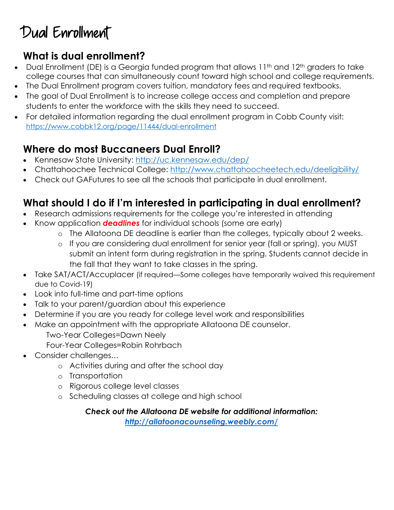# Dual Enrollment

#### **What is dual enrollment?**

- Dual Enrollment (DE) is a Georgia funded program that allows 11<sup>th</sup> and 12<sup>th</sup> graders to take college courses that can simultaneously count toward high school and college requirements.
- The Dual Enrollment program covers tuition, mandatory fees and required textbooks.
- The goal of Dual Enrollment is to increase college access and completion and prepare students to enter the workforce with the skills they need to succeed.
- For detailed information regarding the dual enrollment program in Cobb County visit: <https://www.cobbk12.org/page/11444/dual-enrollment>

#### **Where do most Buccaneers Dual Enroll?**

- Kennesaw State University:<http://uc.kennesaw.edu/dep/>
- Chattahoochee Technical College:<http://www.chattahoocheetech.edu/deeligibility/>
- Check out GAFutures to see all the schools that participate in dual enrollment.

#### **What should I do if I'm interested in participating in dual enrollment?**

- Research admissions requirements for the college you're interested in attending
- Know application *deadlines* for individual schools (some are early)
	- o The Allatoona DE deadline is earlier than the colleges, typically about 2 weeks.
	- o If you are considering dual enrollment for senior year (fall or spring), you MUST submit an intent form during registration in the spring. Students cannot decide in the fall that they want to take classes in the spring.
- Take SAT/ACT/Accuplacer (if required—Some colleges have temporarily waived this requirement due to Covid-19)
- Look into full-time and part-time options
- Talk to your parent/guardian about this experience
- Determine if you are you ready for college level work and responsibilities
- Make an appointment with the appropriate Allatoona DE counselor.
	- Two-Year Colleges=Dawn Neely
	- Four-Year Colleges=Robin Rohrbach
- Consider challenges…
	- o Activities during and after the school day
	- o Transportation
	- o Rigorous college level classes
	- o Scheduling classes at college and high school

#### *Check out the Allatoona DE website for additional information:*

*<http://allatoonacounseling.weebly.com/>*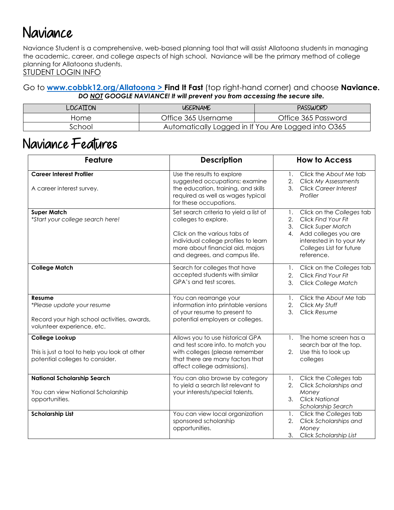## Naviance

Naviance Student is a comprehensive, web-based planning tool that will assist Allatoona students in managing the academic, career, and college aspects of high school. Naviance will be the primary method of college planning for Allatoona students. STUDENT LOGIN INFO

Go to **[www.cobbk12.org/Allatoona](http://www.cobbk12.org/Allatoona) > Find It Fast** (top right-hand corner) and choose **Naviance.** *DO NOT GOOGLE NAVIANCE! It will prevent you from accessing the secure site.*

| <b>LOCATION</b> | <b>USERNAME</b>                                     | <b>PASSWORD</b>     |
|-----------------|-----------------------------------------------------|---------------------|
| Home            | Office 365 Username                                 | Office 365 Password |
| School          | Automatically Logged in If You Are Logged into 0365 |                     |

#### Naviance Features

| <b>Feature</b>                                                                                                    | <b>Description</b>                                                                                                                                                                                          | <b>How to Access</b>                                                                                                                                                                  |
|-------------------------------------------------------------------------------------------------------------------|-------------------------------------------------------------------------------------------------------------------------------------------------------------------------------------------------------------|---------------------------------------------------------------------------------------------------------------------------------------------------------------------------------------|
| <b>Career Interest Profiler</b><br>A career interest survey.                                                      | Use the results to explore<br>suggested occupations; examine<br>the education, training, and skills<br>required as well as wages typical<br>for these occupations.                                          | Click the About Me tab<br>$\mathbf{1}$ .<br>2.<br><b>Click My Assessments</b><br>3. Click Career Interest<br>Profiler                                                                 |
| <b>Super Match</b><br>*Start your college search here!                                                            | Set search criteria to yield a list of<br>colleges to explore.<br>Click on the various tabs of<br>individual college profiles to learn<br>more about financial aid, majors<br>and degrees, and campus life. | Click on the Colleges tab<br>1.<br>Click Find Your Fit<br>2.<br>3. Click Super Match<br>4. Add colleges you are<br>interested in to your My<br>Colleges List for future<br>reference. |
| <b>College Match</b>                                                                                              | Search for colleges that have<br>accepted students with similar<br>GPA's and test scores.                                                                                                                   | Click on the Colleges tab<br>1.<br><b>Click Find Your Fit</b><br>2.<br>3.<br>Click College Match                                                                                      |
| Resume<br>*Please update your resume<br>Record your high school activities, awards,<br>volunteer experience, etc. | You can rearrange your<br>information into printable versions<br>of your resume to present to<br>potential employers or colleges.                                                                           | Click the About Me tab<br>$\mathbf{1}$ .<br>2.<br>Click My Stuff<br>3.<br>Click Resume                                                                                                |
| College Lookup<br>This is just a tool to help you look at other<br>potential colleges to consider.                | Allows you to use historical GPA<br>and test score info. to match you<br>with colleges (please remember<br>that there are many factors that<br>affect college admissions).                                  | The home screen has a<br>1.<br>search bar at the top.<br>2. Use this to look up<br>colleges                                                                                           |
| <b>National Scholarship Search</b><br>You can view National Scholarship<br>opportunities.                         | You can also browse by category<br>to yield a search list relevant to<br>your interests/special talents.                                                                                                    | Click the Colleges tab<br>1.<br>Click Scholarships and<br>2.<br>Money<br>3. Click National<br>Scholarship Search                                                                      |
| <b>Scholarship List</b>                                                                                           | You can view local organization<br>sponsored scholarship<br>opportunities.                                                                                                                                  | Click the Colleges tab<br>1.<br>Click Scholarships and<br>2.<br>Money<br>3.<br>Click Scholarship List                                                                                 |